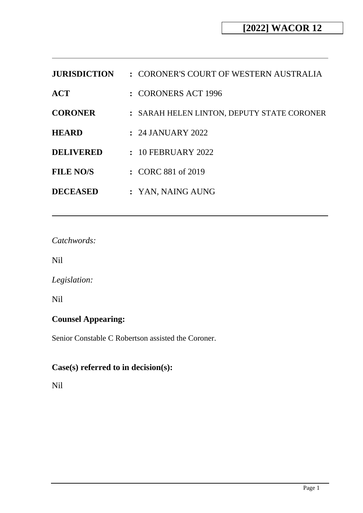| <b>JURISDICTION</b> | : CORONER'S COURT OF WESTERN AUSTRALIA     |
|---------------------|--------------------------------------------|
| $\bf{ACT}$          | : CORONERS ACT 1996                        |
| <b>CORONER</b>      | : SARAH HELEN LINTON, DEPUTY STATE CORONER |
| <b>HEARD</b>        | $: 24$ JANUARY 2022                        |
| <b>DELIVERED</b>    | $: 10$ FEBRUARY 2022                       |
| <b>FILE NO/S</b>    | : CORC 881 of 2019                         |
| <b>DECEASED</b>     | : YAN, NAING AUNG                          |

*Catchwords:*

Nil

*Legislation:*

Nil

# **Counsel Appearing:**

Senior Constable C Robertson assisted the Coroner.

# **Case(s) referred to in decision(s):**

Nil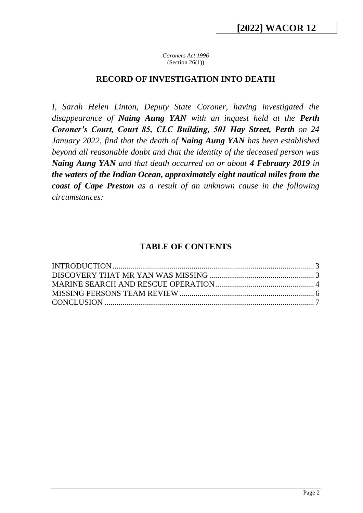*Coroners Act 1996* (Section  $26(1)$ )

### **RECORD OF INVESTIGATION INTO DEATH**

*I, Sarah Helen Linton, Deputy State Coroner, having investigated the disappearance of Naing Aung YAN with an inquest held at the Perth Coroner's Court, Court 85, CLC Building, 501 Hay Street, Perth on 24 January 2022, find that the death of Naing Aung YAN has been established beyond all reasonable doubt and that the identity of the deceased person was Naing Aung YAN and that death occurred on or about 4 February 2019 in the waters of the Indian Ocean, approximately eight nautical miles from the coast of Cape Preston as a result of an unknown cause in the following circumstances:*

### **TABLE OF CONTENTS**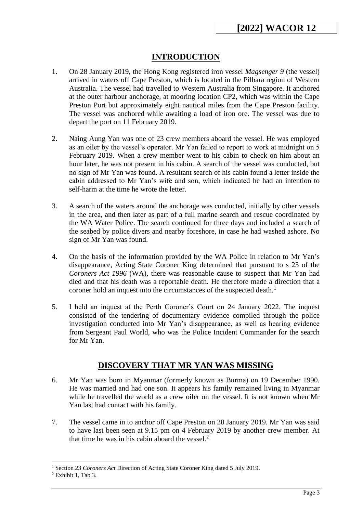## **INTRODUCTION**

- <span id="page-2-0"></span>1. On 28 January 2019, the Hong Kong registered iron vessel *Magsenger 9* (the vessel) arrived in waters off Cape Preston, which is located in the Pilbara region of Western Australia. The vessel had travelled to Western Australia from Singapore. It anchored at the outer harbour anchorage, at mooring location CP2, which was within the Cape Preston Port but approximately eight nautical miles from the Cape Preston facility. The vessel was anchored while awaiting a load of iron ore. The vessel was due to depart the port on 11 February 2019.
- 2. Naing Aung Yan was one of 23 crew members aboard the vessel. He was employed as an oiler by the vessel's operator. Mr Yan failed to report to work at midnight on 5 February 2019. When a crew member went to his cabin to check on him about an hour later, he was not present in his cabin. A search of the vessel was conducted, but no sign of Mr Yan was found. A resultant search of his cabin found a letter inside the cabin addressed to Mr Yan's wife and son, which indicated he had an intention to self-harm at the time he wrote the letter.
- 3. A search of the waters around the anchorage was conducted, initially by other vessels in the area, and then later as part of a full marine search and rescue coordinated by the WA Water Police. The search continued for three days and included a search of the seabed by police divers and nearby foreshore, in case he had washed ashore. No sign of Mr Yan was found.
- 4. On the basis of the information provided by the WA Police in relation to Mr Yan's disappearance, Acting State Coroner King determined that pursuant to s 23 of the *Coroners Act 1996* (WA), there was reasonable cause to suspect that Mr Yan had died and that his death was a reportable death. He therefore made a direction that a coroner hold an inquest into the circumstances of the suspected death.<sup>1</sup>
- 5. I held an inquest at the Perth Coroner's Court on 24 January 2022. The inquest consisted of the tendering of documentary evidence compiled through the police investigation conducted into Mr Yan's disappearance, as well as hearing evidence from Sergeant Paul World, who was the Police Incident Commander for the search for Mr Yan.

## **DISCOVERY THAT MR YAN WAS MISSING**

- <span id="page-2-1"></span>6. Mr Yan was born in Myanmar (formerly known as Burma) on 19 December 1990. He was married and had one son. It appears his family remained living in Myanmar while he travelled the world as a crew oiler on the vessel. It is not known when Mr Yan last had contact with his family.
- 7. The vessel came in to anchor off Cape Preston on 28 January 2019. Mr Yan was said to have last been seen at 9.15 pm on 4 February 2019 by another crew member. At that time he was in his cabin aboard the vessel.<sup>2</sup>

<sup>&</sup>lt;sup>1</sup> Section 23 *Coroners Act* Direction of Acting State Coroner King dated 5 July 2019.

 $2$  Exhibit 1, Tab 3.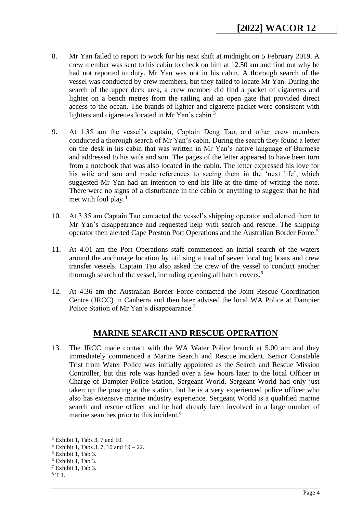- 8. Mr Yan failed to report to work for his next shift at midnight on 5 February 2019. A crew member was sent to his cabin to check on him at 12.50 am and find out why he had not reported to duty. Mr Yan was not in his cabin. A thorough search of the vessel was conducted by crew members, but they failed to locate Mr Yan. During the search of the upper deck area, a crew member did find a packet of cigarettes and lighter on a bench metres from the railing and an open gate that provided direct access to the ocean. The brands of lighter and cigarette packet were consistent with lighters and cigarettes located in Mr Yan's cabin.<sup>3</sup>
- 9. At 1.35 am the vessel's captain, Captain Deng Tao, and other crew members conducted a thorough search of Mr Yan's cabin. During the search they found a letter on the desk in his cabin that was written in Mr Yan's native language of Burmese and addressed to his wife and son. The pages of the letter appeared to have been torn from a notebook that was also located in the cabin. The letter expressed his love for his wife and son and made references to seeing them in the 'next life', which suggested Mr Yan had an intention to end his life at the time of writing the note. There were no signs of a disturbance in the cabin or anything to suggest that he had met with foul play.<sup>4</sup>
- 10. At 3.35 am Captain Tao contacted the vessel's shipping operator and alerted them to Mr Yan's disappearance and requested help with search and rescue. The shipping operator then alerted Cape Preston Port Operations and the Australian Border Force.<sup>5</sup>
- 11. At 4.01 am the Port Operations staff commenced an initial search of the waters around the anchorage location by utilising a total of seven local tug boats and crew transfer vessels. Captain Tao also asked the crew of the vessel to conduct another thorough search of the vessel, including opening all hatch covers.<sup>6</sup>
- 12. At 4.36 am the Australian Border Force contacted the Joint Rescue Coordination Centre (JRCC) in Canberra and then later advised the local WA Police at Dampier Police Station of Mr Yan's disappearance.<sup>7</sup>

### **MARINE SEARCH AND RESCUE OPERATION**

<span id="page-3-0"></span>13. The JRCC made contact with the WA Water Police branch at 5.00 am and they immediately commenced a Marine Search and Rescue incident. Senior Constable Trist from Water Police was initially appointed as the Search and Rescue Mission Controller, but this role was handed over a few hours later to the local Officer in Charge of Dampier Police Station, Sergeant World. Sergeant World had only just taken up the posting at the station, but he is a very experienced police officer who also has extensive marine industry experience. Sergeant World is a qualified marine search and rescue officer and he had already been involved in a large number of marine searches prior to this incident.<sup>8</sup>

<sup>3</sup> Exhibit 1, Tabs 3, 7 and 10.

 $4$  Exhibit 1, Tabs 3, 7, 10 and  $19 - 22$ .

<sup>5</sup> Exhibit 1, Tab 3.

<sup>6</sup> Exhibit 1, Tab 3.

<sup>7</sup> Exhibit 1, Tab 3.

<sup>8</sup> T 4.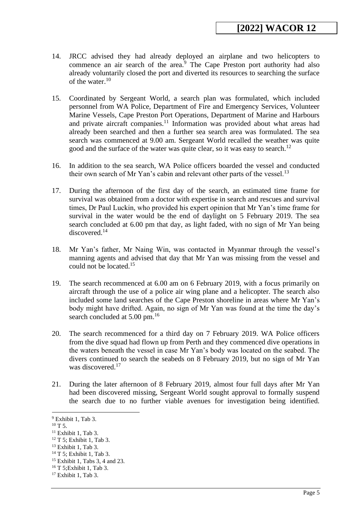- 14. JRCC advised they had already deployed an airplane and two helicopters to commence an air search of the area.<sup>9</sup> The Cape Preston port authority had also already voluntarily closed the port and diverted its resources to searching the surface of the water.<sup>10</sup>
- 15. Coordinated by Sergeant World, a search plan was formulated, which included personnel from WA Police, Department of Fire and Emergency Services, Volunteer Marine Vessels, Cape Preston Port Operations, Department of Marine and Harbours and private aircraft companies.<sup>11</sup> Information was provided about what areas had already been searched and then a further sea search area was formulated. The sea search was commenced at 9.00 am. Sergeant World recalled the weather was quite good and the surface of the water was quite clear, so it was easy to search.<sup>12</sup>
- 16. In addition to the sea search, WA Police officers boarded the vessel and conducted their own search of Mr Yan's cabin and relevant other parts of the vessel.<sup>13</sup>
- 17. During the afternoon of the first day of the search, an estimated time frame for survival was obtained from a doctor with expertise in search and rescues and survival times, Dr Paul Luckin, who provided his expert opinion that Mr Yan's time frame for survival in the water would be the end of daylight on 5 February 2019. The sea search concluded at 6.00 pm that day, as light faded, with no sign of Mr Yan being discovered.<sup>14</sup>
- 18. Mr Yan's father, Mr Naing Win, was contacted in Myanmar through the vessel's manning agents and advised that day that Mr Yan was missing from the vessel and could not be located.<sup>15</sup>
- 19. The search recommenced at 6.00 am on 6 February 2019, with a focus primarily on aircraft through the use of a police air wing plane and a helicopter. The search also included some land searches of the Cape Preston shoreline in areas where Mr Yan's body might have drifted. Again, no sign of Mr Yan was found at the time the day's search concluded at 5.00 pm.<sup>16</sup>
- 20. The search recommenced for a third day on 7 February 2019. WA Police officers from the dive squad had flown up from Perth and they commenced dive operations in the waters beneath the vessel in case Mr Yan's body was located on the seabed. The divers continued to search the seabeds on 8 February 2019, but no sign of Mr Yan was discovered.<sup>17</sup>
- 21. During the later afternoon of 8 February 2019, almost four full days after Mr Yan had been discovered missing, Sergeant World sought approval to formally suspend the search due to no further viable avenues for investigation being identified.

<sup>&</sup>lt;sup>9</sup> Exhibit 1, Tab 3.

 $10$  T 5.

 $11$  Exhibit 1, Tab 3.

<sup>12</sup> T 5; Exhibit 1, Tab 3.

 $13$  Exhibit 1, Tab 3.

<sup>14</sup> T 5; Exhibit 1, Tab 3.

<sup>15</sup> Exhibit 1, Tabs 3, 4 and 23.

<sup>16</sup> T 5;Exhibit 1, Tab 3.

<sup>17</sup> Exhibit 1, Tab 3.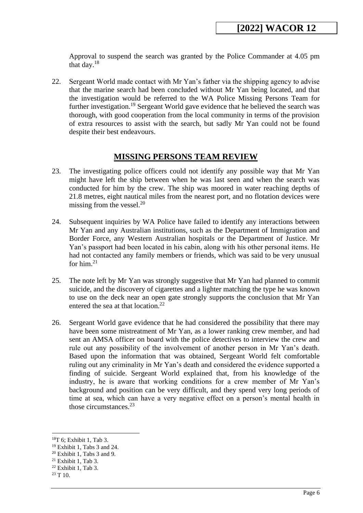Approval to suspend the search was granted by the Police Commander at 4.05 pm that day. $18$ 

22. Sergeant World made contact with Mr Yan's father via the shipping agency to advise that the marine search had been concluded without Mr Yan being located, and that the investigation would be referred to the WA Police Missing Persons Team for further investigation.<sup>19</sup> Sergeant World gave evidence that he believed the search was thorough, with good cooperation from the local community in terms of the provision of extra resources to assist with the search, but sadly Mr Yan could not be found despite their best endeavours.

### **MISSING PERSONS TEAM REVIEW**

- <span id="page-5-0"></span>23. The investigating police officers could not identify any possible way that Mr Yan might have left the ship between when he was last seen and when the search was conducted for him by the crew. The ship was moored in water reaching depths of 21.8 metres, eight nautical miles from the nearest port, and no flotation devices were missing from the vessel. $^{20}$
- 24. Subsequent inquiries by WA Police have failed to identify any interactions between Mr Yan and any Australian institutions, such as the Department of Immigration and Border Force, any Western Australian hospitals or the Department of Justice. Mr Yan's passport had been located in his cabin, along with his other personal items. He had not contacted any family members or friends, which was said to be very unusual for him. $21$
- 25. The note left by Mr Yan was strongly suggestive that Mr Yan had planned to commit suicide, and the discovery of cigarettes and a lighter matching the type he was known to use on the deck near an open gate strongly supports the conclusion that Mr Yan entered the sea at that location. $^{22}$
- 26. Sergeant World gave evidence that he had considered the possibility that there may have been some mistreatment of Mr Yan, as a lower ranking crew member, and had sent an AMSA officer on board with the police detectives to interview the crew and rule out any possibility of the involvement of another person in Mr Yan's death. Based upon the information that was obtained, Sergeant World felt comfortable ruling out any criminality in Mr Yan's death and considered the evidence supported a finding of suicide. Sergeant World explained that, from his knowledge of the industry, he is aware that working conditions for a crew member of Mr Yan's background and position can be very difficult, and they spend very long periods of time at sea, which can have a very negative effect on a person's mental health in those circumstances.<sup>23</sup>

 $18$ T 6; Exhibit 1, Tab 3.

<sup>19</sup> Exhibit 1, Tabs 3 and 24.

 $20$  Exhibit 1, Tabs 3 and 9.

 $21$  Exhibit 1, Tab 3.

<sup>22</sup> Exhibit 1, Tab 3.

<sup>23</sup> T 10.